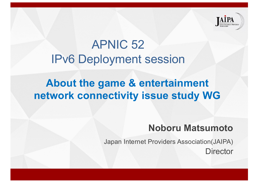

# APNIC 52 IPv6 Deployment session

### **About the game & entertainment network connectivity issue study WG**

### **Noboru Matsumoto**

Japan Internet Providers Association(JAIPA) **Director**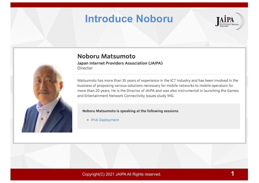### **Introduce Noboru**





#### Noboru Matsumoto

Japan Internet Providers Association (JAIPA) Director

Matsumoto has more than 35 years of experience in the ICT industry and has been involved in the business of proposing various solutions necessary for mobile networks to mobile operators for more than 20 years. He is the Director of JAIPA and was also instrumental in launching the Games and Entertainment Network Connectivity Issues study WG.

#### Noboru Matsumoto is speaking at the following sessions

• IPv6 Deployment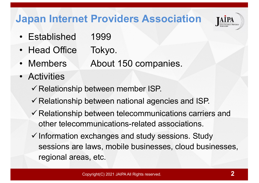### **Japan Internet Providers Association**

- Established 1999
- Head Office Tokyo.
- Members About 150 companies.
- Activities
	- $\checkmark$  Relationship between member ISP.
	- $\checkmark$  Relationship between national agencies and ISP.
	- $\checkmark$  Relationship between telecommunications carriers and other telecommunications-related associations.
	- $\checkmark$  Information exchanges and study sessions. Study sessions are laws, mobile businesses, cloud businesses, regional areas, etc.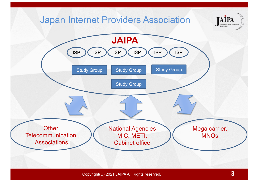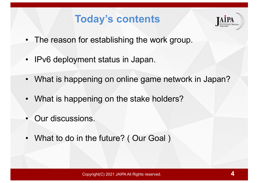### **Today's contents**



- The reason for establishing the work group.
- IPv6 deployment status in Japan.
- What is happening on online game network in Japan?
- What is happening on the stake holders?
- Our discussions.
- What to do in the future? (Our Goal)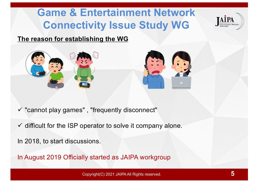# **Game & Entertainment Network Connectivity Issue Study WG**



#### **The reason for establishing the WG**





- $\checkmark$  "cannot play games", "frequently disconnect"
- $\checkmark$  difficult for the ISP operator to solve it company alone.

In 2018, to start discussions.

In August 2019 Officially started as JAIPA workgroup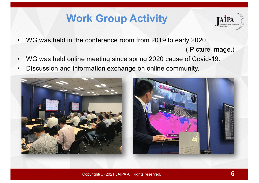# **Work Group Activity**



- WG was held in the conference room from 2019 to early 2020.
	- ( Picture Image.)
- WG was held online meeting since spring 2020 cause of Covid-19.
- Discussion and information exchange on online community.

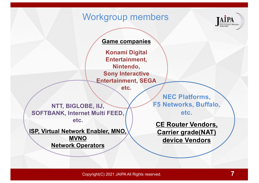### Workgroup members



#### **Game companies**

**Konami Digital Entertainment, Nintendo, Sony Interactive Entertainment, SEGA**

**etc.**

**NTT, BIGLOBE, IIJ, SOFTBANK, Internet Multi FEED, etc.** 

**ISP, Virtual Network Enabler, MNO, MVNO Network Operators**

**NEC Platforms, F5 Networks, Buffalo, etc.**

**CE Router Vendors, Carrier grade(NAT) device Vendors**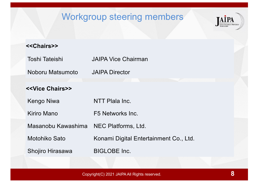### Workgroup steering members



#### **<<Chairs>>**

| Toshi Tateishi | JAIPA Vice Chairman |
|----------------|---------------------|
|                |                     |

Noboru Matsumoto JAIPA Director

#### **<<Vice Chairs>>**

Kengo Niwa NTT Plala Inc.

Kiriro Mano **F5 Networks** Inc.

Masanobu Kawashima NEC Platforms, Ltd.

Motohiko Sato Konami Digital Entertainment Co., Ltd.

Shojiro Hirasawa BIGLOBE Inc.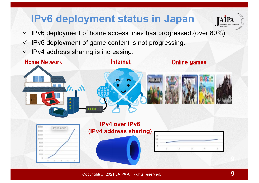# **IPv6 deployment status in Japan**



- $\checkmark$  IPv6 deployment of home access lines has progressed.(over 80%)
- $\checkmark$  IPv6 deployment of game content is not progressing.
- $\checkmark$  IPv4 address sharing is increasing.

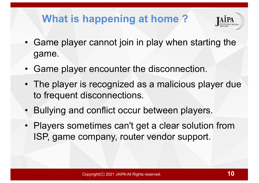# **What is happening at home ?**



- Game player cannot join in play when starting the game.
- Game player encounter the disconnection.
- The player is recognized as a malicious player due to frequent disconnections.
- Bullying and conflict occur between players.
- Players sometimes can't get a clear solution from ISP, game company, router vendor support.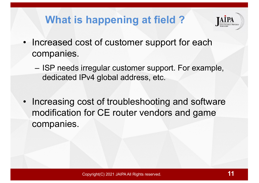# **What is happening at field ?**



- Increased cost of customer support for each companies.
	- ISP needs irregular customer support. For example, dedicated IPv4 global address, etc.
- Increasing cost of troubleshooting and software modification for CE router vendors and game companies.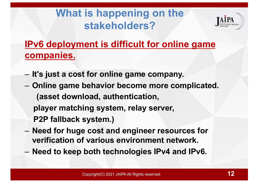# **What is happening on the stakeholders?**



### **IPv6 deployment is difficult for online game companies.**

- **It's just a cost for online game company.**
- **Online game behavior become more complicated. (asset download, authentication, player matching system, relay server, P2P fallback system.)**
- **Need for huge cost and engineer resources for verification of various environment network.**
- **Need to keep both technologies IPv4 and IPv6.**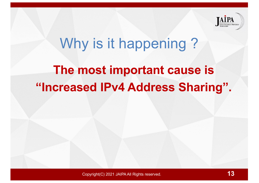

# **The most important cause is "Increased IPv4 Address Sharing".** Why is it happening?

Copyright(C) 2021 JAIPA All Rights reserved.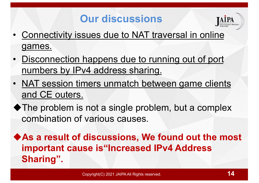## **Our discussions**



- Connectivity issues due to NAT traversal in online games.
- Disconnection happens due to running out of port numbers by IPv4 address sharing.
- NAT session timers unmatch between game clients and CE outers.
- $\blacklozenge$  The problem is not a single problem, but a complex combination of various causes.

◆ As a result of discussions, We found out the most **important cause is"Increased IPv4 Address Sharing".**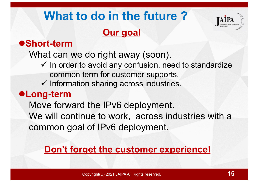# **What to do in the future ?**

### **Our goal**



### l**Short-term**

What can we do right away (soon).

- $\checkmark$  In order to avoid any confusion, need to standardize common term for customer supports.
- $\checkmark$  Information sharing across industries.

### l**Long-term**

Move forward the IPv6 deployment. We will continue to work, across industries with a common goal of IPv6 deployment.

### **Don't forget the customer experience!**